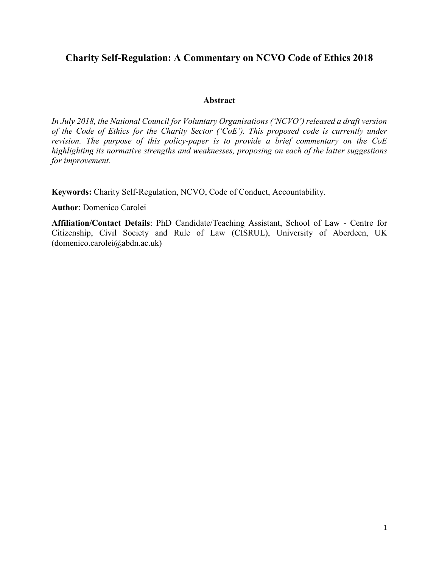# **Charity Self-Regulation: A Commentary on NCVO Code of Ethics 2018**

# **Abstract**

*In July 2018, the National Council for Voluntary Organisations ('NCVO') released a draft version of the Code of Ethics for the Charity Sector ('CoE'). This proposed code is currently under revision. The purpose of this policy-paper is to provide a brief commentary on the CoE highlighting its normative strengths and weaknesses, proposing on each of the latter suggestions for improvement.*

**Keywords:** Charity Self-Regulation, NCVO, Code of Conduct, Accountability.

**Author**: Domenico Carolei

**Affiliation/Contact Details**: PhD Candidate/Teaching Assistant, School of Law - Centre for Citizenship, Civil Society and Rule of Law (CISRUL), University of Aberdeen, UK (domenico.carolei@abdn.ac.uk)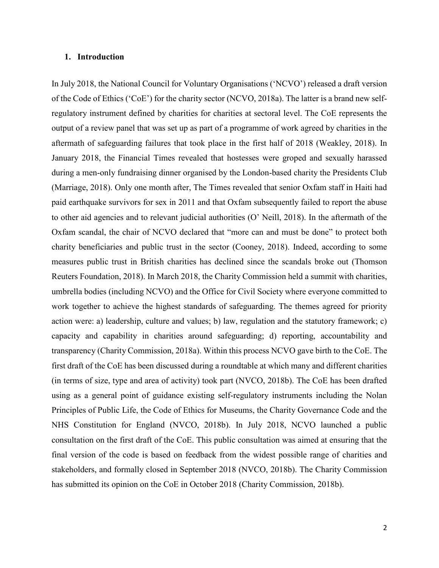#### **1. Introduction**

In July 2018, the National Council for Voluntary Organisations ('NCVO') released a draft version of the Code of Ethics ('CoE') for the charity sector (NCVO, 2018a). The latter is a brand new selfregulatory instrument defined by charities for charities at sectoral level. The CoE represents the output of a review panel that was set up as part of a programme of work agreed by charities in the aftermath of safeguarding failures that took place in the first half of 2018 (Weakley, 2018). In January 2018, the Financial Times revealed that hostesses were groped and sexually harassed during a men-only fundraising dinner organised by the London-based charity the Presidents Club (Marriage, 2018). Only one month after, The Times revealed that senior Oxfam staff in Haiti had paid earthquake survivors for sex in 2011 and that Oxfam subsequently failed to report the abuse to other aid agencies and to relevant judicial authorities (O' Neill, 2018). In the aftermath of the Oxfam scandal, the chair of NCVO declared that "more can and must be done" to protect both charity beneficiaries and public trust in the sector (Cooney, 2018). Indeed, according to some measures public trust in British charities has declined since the scandals broke out (Thomson Reuters Foundation, 2018). In March 2018, the Charity Commission held a summit with charities, umbrella bodies (including NCVO) and the Office for Civil Society where everyone committed to work together to achieve the highest standards of safeguarding. The themes agreed for priority action were: a) leadership, culture and values; b) law, regulation and the statutory framework; c) capacity and capability in charities around safeguarding; d) reporting, accountability and transparency (Charity Commission, 2018a). Within this process NCVO gave birth to the CoE. The first draft of the CoE has been discussed during a roundtable at which many and different charities (in terms of size, type and area of activity) took part (NVCO, 2018b). The CoE has been drafted using as a general point of guidance existing self-regulatory instruments including the Nolan Principles of Public Life, the Code of Ethics for Museums, the Charity Governance Code and the NHS Constitution for England (NVCO, 2018b). In July 2018, NCVO launched a public consultation on the first draft of the CoE. This public consultation was aimed at ensuring that the final version of the code is based on feedback from the widest possible range of charities and stakeholders, and formally closed in September 2018 (NVCO, 2018b). The Charity Commission has submitted its opinion on the CoE in October 2018 (Charity Commission, 2018b).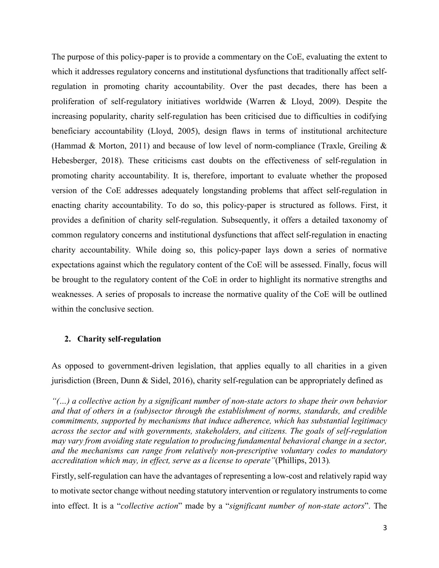The purpose of this policy-paper is to provide a commentary on the CoE, evaluating the extent to which it addresses regulatory concerns and institutional dysfunctions that traditionally affect selfregulation in promoting charity accountability. Over the past decades, there has been a proliferation of self-regulatory initiatives worldwide (Warren & Lloyd, 2009). Despite the increasing popularity, charity self-regulation has been criticised due to difficulties in codifying beneficiary accountability (Lloyd, 2005), design flaws in terms of institutional architecture (Hammad & Morton, 2011) and because of low level of norm-compliance (Traxle, Greiling & Hebesberger, 2018). These criticisms cast doubts on the effectiveness of self-regulation in promoting charity accountability. It is, therefore, important to evaluate whether the proposed version of the CoE addresses adequately longstanding problems that affect self-regulation in enacting charity accountability. To do so, this policy-paper is structured as follows. First, it provides a definition of charity self-regulation. Subsequently, it offers a detailed taxonomy of common regulatory concerns and institutional dysfunctions that affect self-regulation in enacting charity accountability. While doing so, this policy-paper lays down a series of normative expectations against which the regulatory content of the CoE will be assessed. Finally, focus will be brought to the regulatory content of the CoE in order to highlight its normative strengths and weaknesses. A series of proposals to increase the normative quality of the CoE will be outlined within the conclusive section.

# **2. Charity self-regulation**

As opposed to government-driven legislation, that applies equally to all charities in a given jurisdiction (Breen, Dunn & Sidel, 2016), charity self-regulation can be appropriately defined as

*"(…) a collective action by a significant number of non-state actors to shape their own behavior and that of others in a (sub)sector through the establishment of norms, standards, and credible commitments, supported by mechanisms that induce adherence, which has substantial legitimacy across the sector and with governments, stakeholders, and citizens. The goals of self-regulation may vary from avoiding state regulation to producing fundamental behavioral change in a sector, and the mechanisms can range from relatively non-prescriptive voluntary codes to mandatory accreditation which may, in effect, serve as a license to operate"*(Phillips, 2013)*.*

Firstly, self-regulation can have the advantages of representing a low-cost and relatively rapid way to motivate sector change without needing statutory intervention or regulatory instruments to come into effect. It is a "*collective action*" made by a "*significant number of non-state actors*". The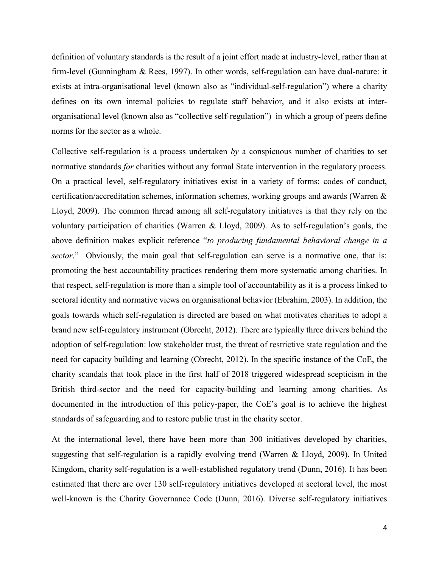definition of voluntary standards is the result of a joint effort made at industry-level, rather than at firm-level (Gunningham & Rees, 1997). In other words, self-regulation can have dual-nature: it exists at intra-organisational level (known also as "individual-self-regulation") where a charity defines on its own internal policies to regulate staff behavior, and it also exists at interorganisational level (known also as "collective self-regulation") in which a group of peers define norms for the sector as a whole.

Collective self-regulation is a process undertaken *by* a conspicuous number of charities to set normative standards *for* charities without any formal State intervention in the regulatory process. On a practical level, self-regulatory initiatives exist in a variety of forms: codes of conduct, certification/accreditation schemes, information schemes, working groups and awards (Warren & Lloyd, 2009). The common thread among all self-regulatory initiatives is that they rely on the voluntary participation of charities (Warren & Lloyd, 2009). As to self-regulation's goals, the above definition makes explicit reference "*to producing fundamental behavioral change in a sector*." Obviously, the main goal that self-regulation can serve is a normative one, that is: promoting the best accountability practices rendering them more systematic among charities. In that respect, self-regulation is more than a simple tool of accountability as it is a process linked to sectoral identity and normative views on organisational behavior (Ebrahim, 2003). In addition, the goals towards which self-regulation is directed are based on what motivates charities to adopt a brand new self-regulatory instrument (Obrecht, 2012). There are typically three drivers behind the adoption of self-regulation: low stakeholder trust, the threat of restrictive state regulation and the need for capacity building and learning (Obrecht, 2012). In the specific instance of the CoE, the charity scandals that took place in the first half of 2018 triggered widespread scepticism in the British third-sector and the need for capacity-building and learning among charities. As documented in the introduction of this policy-paper, the CoE's goal is to achieve the highest standards of safeguarding and to restore public trust in the charity sector.

At the international level, there have been more than 300 initiatives developed by charities, suggesting that self-regulation is a rapidly evolving trend (Warren & Lloyd, 2009). In United Kingdom, charity self-regulation is a well-established regulatory trend (Dunn, 2016). It has been estimated that there are over 130 self-regulatory initiatives developed at sectoral level, the most well-known is the Charity Governance Code (Dunn, 2016). Diverse self-regulatory initiatives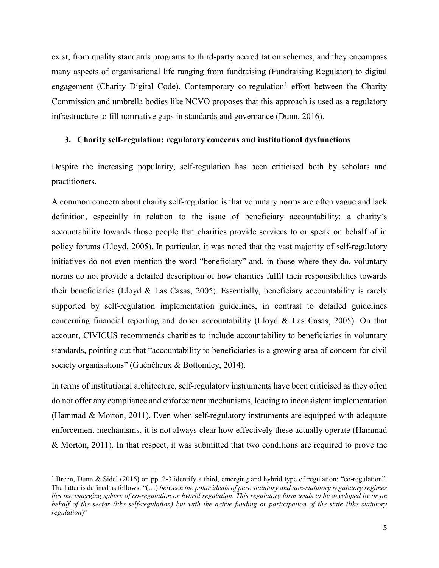exist, from quality standards programs to third-party accreditation schemes, and they encompass many aspects of organisational life ranging from fundraising (Fundraising Regulator) to digital engagement (Charity Digital Code). Contemporary co-regulation<sup>[1](#page-4-0)</sup> effort between the Charity Commission and umbrella bodies like NCVO proposes that this approach is used as a regulatory infrastructure to fill normative gaps in standards and governance (Dunn, 2016).

#### **3. Charity self-regulation: regulatory concerns and institutional dysfunctions**

Despite the increasing popularity, self-regulation has been criticised both by scholars and practitioners.

A common concern about charity self-regulation is that voluntary norms are often vague and lack definition, especially in relation to the issue of beneficiary accountability: a charity's accountability towards those people that charities provide services to or speak on behalf of in policy forums (Lloyd, 2005). In particular, it was noted that the vast majority of self-regulatory initiatives do not even mention the word "beneficiary" and, in those where they do, voluntary norms do not provide a detailed description of how charities fulfil their responsibilities towards their beneficiaries (Lloyd & Las Casas, 2005). Essentially, beneficiary accountability is rarely supported by self-regulation implementation guidelines, in contrast to detailed guidelines concerning financial reporting and donor accountability (Lloyd & Las Casas, 2005). On that account, CIVICUS recommends charities to include accountability to beneficiaries in voluntary standards, pointing out that "accountability to beneficiaries is a growing area of concern for civil society organisations" (Guénéheux & Bottomley, 2014).

In terms of institutional architecture, self-regulatory instruments have been criticised as they often do not offer any compliance and enforcement mechanisms, leading to inconsistent implementation (Hammad & Morton, 2011). Even when self-regulatory instruments are equipped with adequate enforcement mechanisms, it is not always clear how effectively these actually operate (Hammad & Morton, 2011). In that respect, it was submitted that two conditions are required to prove the

<span id="page-4-0"></span> <sup>1</sup> Breen, Dunn & Sidel (2016) on pp. 2-3 identify a third, emerging and hybrid type of regulation: "co-regulation". The latter is defined as follows: "(…) *between the polar ideals of pure statutory and non-statutory regulatory regimes lies the emerging sphere of co-regulation or hybrid regulation. This regulatory form tends to be developed by or on behalf of the sector (like self-regulation) but with the active funding or participation of the state (like statutory regulation*)"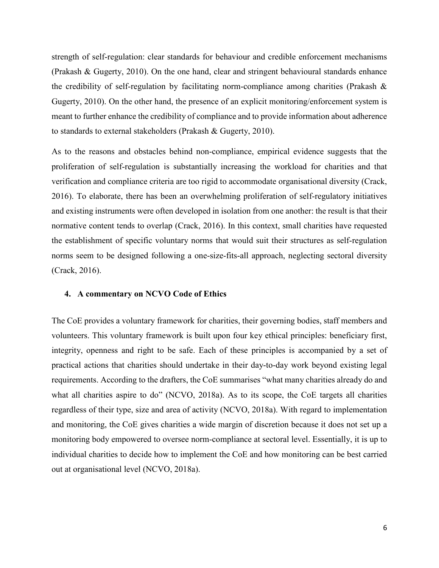strength of self-regulation: clear standards for behaviour and credible enforcement mechanisms (Prakash & Gugerty, 2010). On the one hand, clear and stringent behavioural standards enhance the credibility of self-regulation by facilitating norm-compliance among charities (Prakash & Gugerty, 2010). On the other hand, the presence of an explicit monitoring/enforcement system is meant to further enhance the credibility of compliance and to provide information about adherence to standards to external stakeholders (Prakash & Gugerty, 2010).

As to the reasons and obstacles behind non-compliance, empirical evidence suggests that the proliferation of self-regulation is substantially increasing the workload for charities and that verification and compliance criteria are too rigid to accommodate organisational diversity (Crack, 2016). To elaborate, there has been an overwhelming proliferation of self-regulatory initiatives and existing instruments were often developed in isolation from one another: the result is that their normative content tends to overlap (Crack, 2016). In this context, small charities have requested the establishment of specific voluntary norms that would suit their structures as self-regulation norms seem to be designed following a one-size-fits-all approach, neglecting sectoral diversity (Crack, 2016).

#### **4. A commentary on NCVO Code of Ethics**

The CoE provides a voluntary framework for charities, their governing bodies, staff members and volunteers. This voluntary framework is built upon four key ethical principles: beneficiary first, integrity, openness and right to be safe. Each of these principles is accompanied by a set of practical actions that charities should undertake in their day-to-day work beyond existing legal requirements. According to the drafters, the CoE summarises "what many charities already do and what all charities aspire to do" (NCVO, 2018a). As to its scope, the CoE targets all charities regardless of their type, size and area of activity (NCVO, 2018a). With regard to implementation and monitoring, the CoE gives charities a wide margin of discretion because it does not set up a monitoring body empowered to oversee norm-compliance at sectoral level. Essentially, it is up to individual charities to decide how to implement the CoE and how monitoring can be best carried out at organisational level (NCVO, 2018a).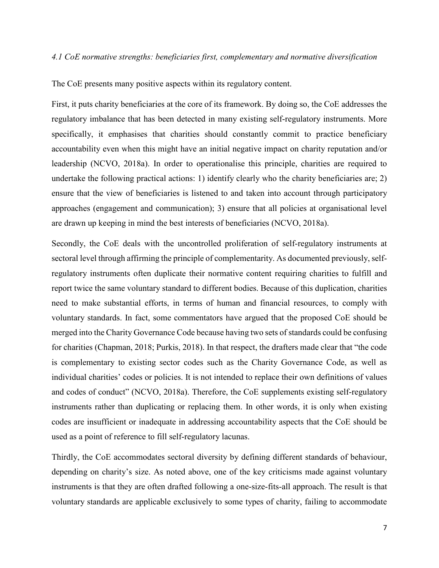## *4.1 CoE normative strengths: beneficiaries first, complementary and normative diversification*

The CoE presents many positive aspects within its regulatory content.

First, it puts charity beneficiaries at the core of its framework. By doing so, the CoE addresses the regulatory imbalance that has been detected in many existing self-regulatory instruments. More specifically, it emphasises that charities should constantly commit to practice beneficiary accountability even when this might have an initial negative impact on charity reputation and/or leadership (NCVO, 2018a). In order to operationalise this principle, charities are required to undertake the following practical actions: 1) identify clearly who the charity beneficiaries are; 2) ensure that the view of beneficiaries is listened to and taken into account through participatory approaches (engagement and communication); 3) ensure that all policies at organisational level are drawn up keeping in mind the best interests of beneficiaries (NCVO, 2018a).

Secondly, the CoE deals with the uncontrolled proliferation of self-regulatory instruments at sectoral level through affirming the principle of complementarity. As documented previously, selfregulatory instruments often duplicate their normative content requiring charities to fulfill and report twice the same voluntary standard to different bodies. Because of this duplication, charities need to make substantial efforts, in terms of human and financial resources, to comply with voluntary standards. In fact, some commentators have argued that the proposed CoE should be merged into the Charity Governance Code because having two sets of standards could be confusing for charities (Chapman, 2018; Purkis, 2018). In that respect, the drafters made clear that "the code is complementary to existing sector codes such as the Charity Governance Code, as well as individual charities' codes or policies. It is not intended to replace their own definitions of values and codes of conduct" (NCVO, 2018a). Therefore, the CoE supplements existing self-regulatory instruments rather than duplicating or replacing them. In other words, it is only when existing codes are insufficient or inadequate in addressing accountability aspects that the CoE should be used as a point of reference to fill self-regulatory lacunas.

Thirdly, the CoE accommodates sectoral diversity by defining different standards of behaviour, depending on charity's size. As noted above, one of the key criticisms made against voluntary instruments is that they are often drafted following a one-size-fits-all approach. The result is that voluntary standards are applicable exclusively to some types of charity, failing to accommodate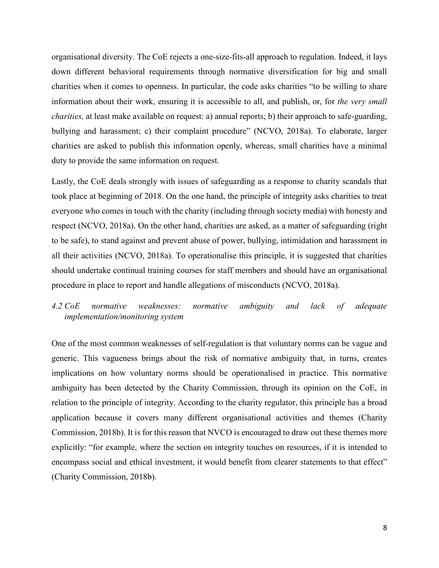organisational diversity. The CoE rejects a one-size-fits-all approach to regulation. Indeed, it lays down different behavioral requirements through normative diversification for big and small charities when it comes to openness. In particular, the code asks charities "to be willing to share information about their work, ensuring it is accessible to all, and publish, or, for *the very small charities,* at least make available on request: a) annual reports; b) their approach to safe-guarding, bullying and harassment; c) their complaint procedure" (NCVO, 2018a). To elaborate, larger charities are asked to publish this information openly, whereas, small charities have a minimal duty to provide the same information on request.

Lastly, the CoE deals strongly with issues of safeguarding as a response to charity scandals that took place at beginning of 2018. On the one hand, the principle of integrity asks charities to treat everyone who comes in touch with the charity (including through society media) with honesty and respect (NCVO, 2018a). On the other hand, charities are asked, as a matter of safeguarding (right to be safe), to stand against and prevent abuse of power, bullying, intimidation and harassment in all their activities (NCVO, 2018a). To operationalise this principle, it is suggested that charities should undertake continual training courses for staff members and should have an organisational procedure in place to report and handle allegations of misconducts (NCVO, 2018a).

# *4.2 CoE normative weaknesses: normative ambiguity and lack of adequate implementation/monitoring system*

One of the most common weaknesses of self-regulation is that voluntary norms can be vague and generic. This vagueness brings about the risk of normative ambiguity that, in turns, creates implications on how voluntary norms should be operationalised in practice. This normative ambiguity has been detected by the Charity Commission, through its opinion on the CoE, in relation to the principle of integrity. According to the charity regulator, this principle has a broad application because it covers many different organisational activities and themes (Charity Commission, 2018b). It is for this reason that NVCO is encouraged to draw out these themes more explicitly: "for example, where the section on integrity touches on resources, if it is intended to encompass social and ethical investment, it would benefit from clearer statements to that effect" (Charity Commission, 2018b).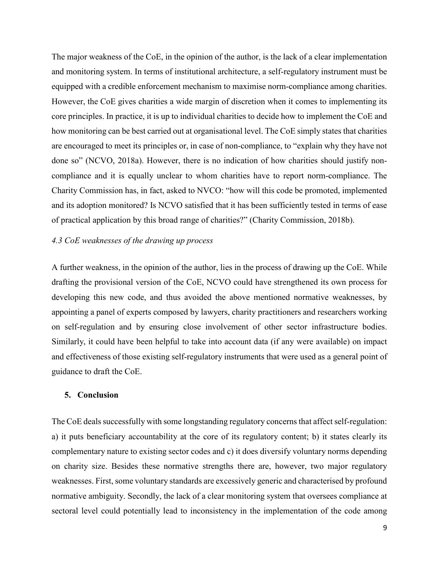The major weakness of the CoE, in the opinion of the author, is the lack of a clear implementation and monitoring system. In terms of institutional architecture, a self-regulatory instrument must be equipped with a credible enforcement mechanism to maximise norm-compliance among charities. However, the CoE gives charities a wide margin of discretion when it comes to implementing its core principles. In practice, it is up to individual charities to decide how to implement the CoE and how monitoring can be best carried out at organisational level. The CoE simply states that charities are encouraged to meet its principles or, in case of non-compliance, to "explain why they have not done so" (NCVO, 2018a). However, there is no indication of how charities should justify noncompliance and it is equally unclear to whom charities have to report norm-compliance. The Charity Commission has, in fact, asked to NVCO: "how will this code be promoted, implemented and its adoption monitored? Is NCVO satisfied that it has been sufficiently tested in terms of ease of practical application by this broad range of charities?" (Charity Commission, 2018b).

## *4.3 CoE weaknesses of the drawing up process*

A further weakness, in the opinion of the author, lies in the process of drawing up the CoE. While drafting the provisional version of the CoE, NCVO could have strengthened its own process for developing this new code, and thus avoided the above mentioned normative weaknesses, by appointing a panel of experts composed by lawyers, charity practitioners and researchers working on self-regulation and by ensuring close involvement of other sector infrastructure bodies. Similarly, it could have been helpful to take into account data (if any were available) on impact and effectiveness of those existing self-regulatory instruments that were used as a general point of guidance to draft the CoE.

# **5. Conclusion**

The CoE deals successfully with some longstanding regulatory concerns that affect self-regulation: a) it puts beneficiary accountability at the core of its regulatory content; b) it states clearly its complementary nature to existing sector codes and c) it does diversify voluntary norms depending on charity size. Besides these normative strengths there are, however, two major regulatory weaknesses. First, some voluntary standards are excessively generic and characterised by profound normative ambiguity. Secondly, the lack of a clear monitoring system that oversees compliance at sectoral level could potentially lead to inconsistency in the implementation of the code among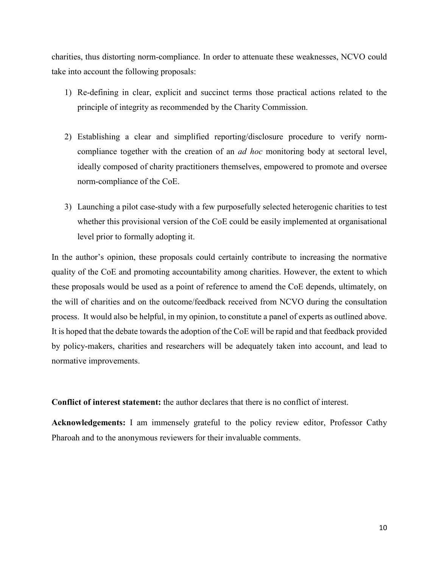charities, thus distorting norm-compliance. In order to attenuate these weaknesses, NCVO could take into account the following proposals:

- 1) Re-defining in clear, explicit and succinct terms those practical actions related to the principle of integrity as recommended by the Charity Commission.
- 2) Establishing a clear and simplified reporting/disclosure procedure to verify normcompliance together with the creation of an *ad hoc* monitoring body at sectoral level, ideally composed of charity practitioners themselves, empowered to promote and oversee norm-compliance of the CoE.
- 3) Launching a pilot case-study with a few purposefully selected heterogenic charities to test whether this provisional version of the CoE could be easily implemented at organisational level prior to formally adopting it.

In the author's opinion, these proposals could certainly contribute to increasing the normative quality of the CoE and promoting accountability among charities. However, the extent to which these proposals would be used as a point of reference to amend the CoE depends, ultimately, on the will of charities and on the outcome/feedback received from NCVO during the consultation process. It would also be helpful, in my opinion, to constitute a panel of experts as outlined above. It is hoped that the debate towards the adoption of the CoE will be rapid and that feedback provided by policy-makers, charities and researchers will be adequately taken into account, and lead to normative improvements.

**Conflict of interest statement:** the author declares that there is no conflict of interest.

**Acknowledgements:** I am immensely grateful to the policy review editor, Professor Cathy Pharoah and to the anonymous reviewers for their invaluable comments.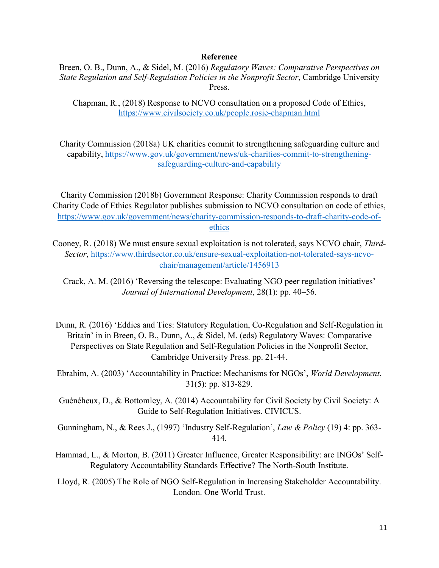#### **Reference**

Breen, O. B., Dunn, A., & Sidel, M. (2016) *Regulatory Waves: Comparative Perspectives on State Regulation and Self-Regulation Policies in the Nonprofit Sector*, Cambridge University Press.

Chapman, R., (2018) Response to NCVO consultation on a proposed Code of Ethics, <https://www.civilsociety.co.uk/people.rosie-chapman.html>

Charity Commission (2018a) UK charities commit to strengthening safeguarding culture and capability, [https://www.gov.uk/government/news/uk-charities-commit-to-strengthening](https://www.gov.uk/government/news/uk-charities-commit-to-strengthening-safeguarding-culture-and-capability)[safeguarding-culture-and-capability](https://www.gov.uk/government/news/uk-charities-commit-to-strengthening-safeguarding-culture-and-capability)

Charity Commission (2018b) Government Response: Charity Commission responds to draft Charity Code of Ethics Regulator publishes submission to NCVO consultation on code of ethics, [https://www.gov.uk/government/news/charity-commission-responds-to-draft-charity-code-of](https://www.gov.uk/government/news/charity-commission-responds-to-draft-charity-code-of-ethics)[ethics](https://www.gov.uk/government/news/charity-commission-responds-to-draft-charity-code-of-ethics)

Cooney, R. (2018) We must ensure sexual exploitation is not tolerated, says NCVO chair, *Third-Sector*, [https://www.thirdsector.co.uk/ensure-sexual-exploitation-not-tolerated-says-ncvo](https://www.thirdsector.co.uk/ensure-sexual-exploitation-not-tolerated-says-ncvo-chair/management/article/1456913)[chair/management/article/1456913](https://www.thirdsector.co.uk/ensure-sexual-exploitation-not-tolerated-says-ncvo-chair/management/article/1456913)

Crack, A. M. (2016) 'Reversing the telescope: Evaluating NGO peer regulation initiatives' *Journal of International Development*, 28(1): pp. 40–56.

Dunn, R. (2016) 'Eddies and Ties: Statutory Regulation, Co-Regulation and Self-Regulation in Britain' in in Breen, O. B., Dunn, A., & Sidel, M. (eds) Regulatory Waves: Comparative Perspectives on State Regulation and Self-Regulation Policies in the Nonprofit Sector, Cambridge University Press. pp. 21-44.

Ebrahim, A. (2003) 'Accountability in Practice: Mechanisms for NGOs', *World Development*, 31(5): pp. 813-829.

Guénéheux, D., & Bottomley, A. (2014) Accountability for Civil Society by Civil Society: A Guide to Self-Regulation Initiatives. CIVICUS.

Gunningham, N., & Rees J., (1997) 'Industry Self-Regulation', *Law & Policy* (19) 4: pp. 363- 414.

Hammad, L., & Morton, B. (2011) Greater Influence, Greater Responsibility: are INGOs' Self-Regulatory Accountability Standards Effective? The North-South Institute.

Lloyd, R. (2005) The Role of NGO Self-Regulation in Increasing Stakeholder Accountability. London. One World Trust.